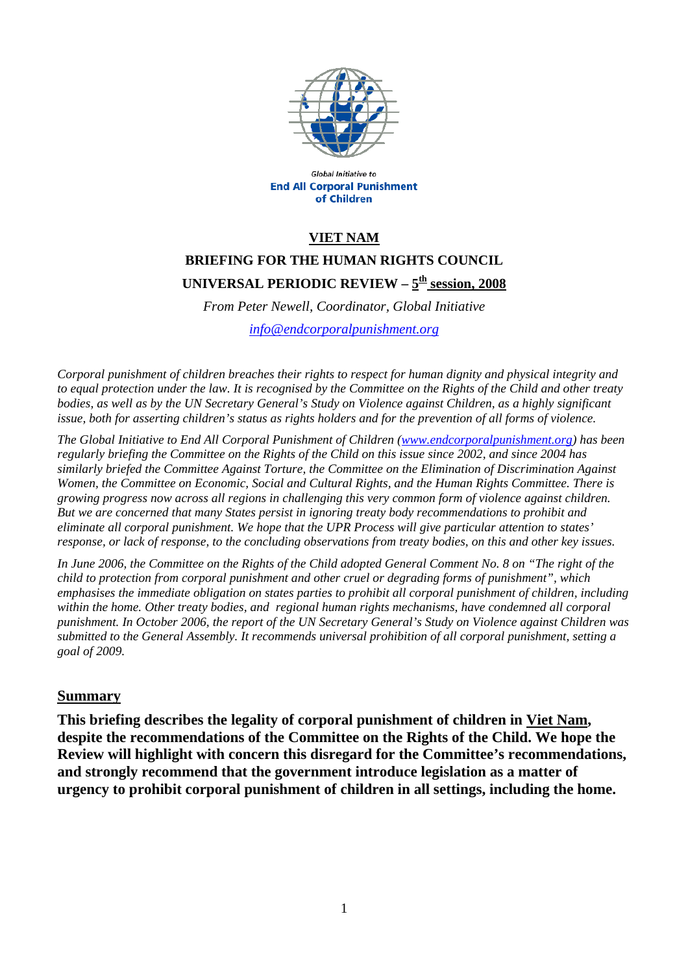

Global Initiative to **End All Corporal Punishment** of Children

### **VIET NAM**

# **BRIEFING FOR THE HUMAN RIGHTS COUNCIL**  UNIVERSAL PERIODIC REVIEW -  $5^{\underline{th}}$  session, 2008

*From Peter Newell, Coordinator, Global Initiative [info@endcorporalpunishment.org](mailto:info@endcorporalpunishment.org)*

*Corporal punishment of children breaches their rights to respect for human dignity and physical integrity and to equal protection under the law. It is recognised by the Committee on the Rights of the Child and other treaty*  bodies, as well as by the UN Secretary General's Study on Violence against Children, as a highly significant *issue, both for asserting children's status as rights holders and for the prevention of all forms of violence.* 

*The Global Initiative to End All Corporal Punishment of Children [\(www.endcorporalpunishment.org](http://www.endcorporalpunishment.org/)) has been regularly briefing the Committee on the Rights of the Child on this issue since 2002, and since 2004 has similarly briefed the Committee Against Torture, the Committee on the Elimination of Discrimination Against Women, the Committee on Economic, Social and Cultural Rights, and the Human Rights Committee. There is growing progress now across all regions in challenging this very common form of violence against children. But we are concerned that many States persist in ignoring treaty body recommendations to prohibit and eliminate all corporal punishment. We hope that the UPR Process will give particular attention to states' response, or lack of response, to the concluding observations from treaty bodies, on this and other key issues.* 

*In June 2006, the Committee on the Rights of the Child adopted General Comment No. 8 on "The right of the child to protection from corporal punishment and other cruel or degrading forms of punishment", which emphasises the immediate obligation on states parties to prohibit all corporal punishment of children, including within the home. Other treaty bodies, and regional human rights mechanisms, have condemned all corporal punishment. In October 2006, the report of the UN Secretary General's Study on Violence against Children was submitted to the General Assembly. It recommends universal prohibition of all corporal punishment, setting a goal of 2009.*

#### **Summary**

**This briefing describes the legality of corporal punishment of children in Viet Nam, despite the recommendations of the Committee on the Rights of the Child. We hope the Review will highlight with concern this disregard for the Committee's recommendations, and strongly recommend that the government introduce legislation as a matter of urgency to prohibit corporal punishment of children in all settings, including the home.**